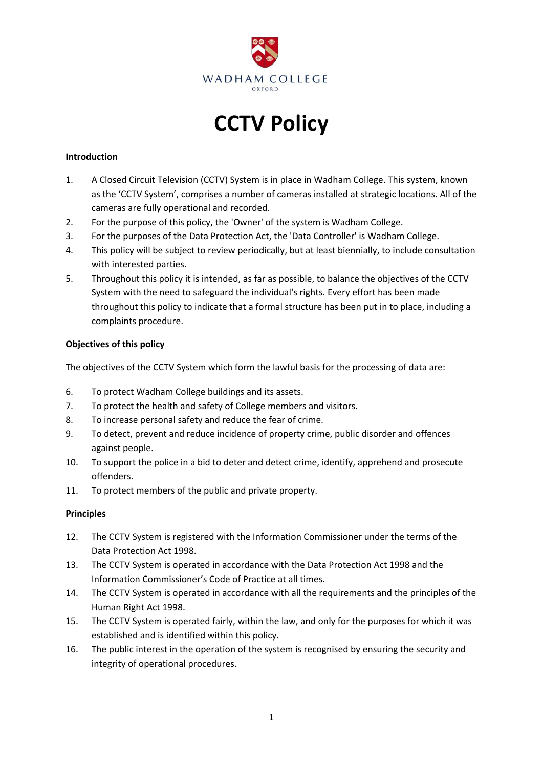

# **CCTV Policy**

#### **Introduction**

- 1. A Closed Circuit Television (CCTV) System is in place in Wadham College. This system, known as the 'CCTV System', comprises a number of cameras installed at strategic locations. All of the cameras are fully operational and recorded.
- 2. For the purpose of this policy, the 'Owner' of the system is Wadham College.
- 3. For the purposes of the Data Protection Act, the 'Data Controller' is Wadham College.
- 4. This policy will be subject to review periodically, but at least biennially, to include consultation with interested parties.
- 5. Throughout this policy it is intended, as far as possible, to balance the objectives of the CCTV System with the need to safeguard the individual's rights. Every effort has been made throughout this policy to indicate that a formal structure has been put in to place, including a complaints procedure.

#### **Objectives of this policy**

The objectives of the CCTV System which form the lawful basis for the processing of data are:

- 6. To protect Wadham College buildings and its assets.
- 7. To protect the health and safety of College members and visitors.
- 8. To increase personal safety and reduce the fear of crime.
- 9. To detect, prevent and reduce incidence of property crime, public disorder and offences against people.
- 10. To support the police in a bid to deter and detect crime, identify, apprehend and prosecute offenders.
- 11. To protect members of the public and private property.

#### **Principles**

- 12. The CCTV System is registered with the Information Commissioner under the terms of the Data Protection Act 1998.
- 13. The CCTV System is operated in accordance with the Data Protection Act 1998 and the Information Commissioner's Code of Practice at all times.
- 14. The CCTV System is operated in accordance with all the requirements and the principles of the Human Right Act 1998.
- 15. The CCTV System is operated fairly, within the law, and only for the purposes for which it was established and is identified within this policy.
- 16. The public interest in the operation of the system is recognised by ensuring the security and integrity of operational procedures.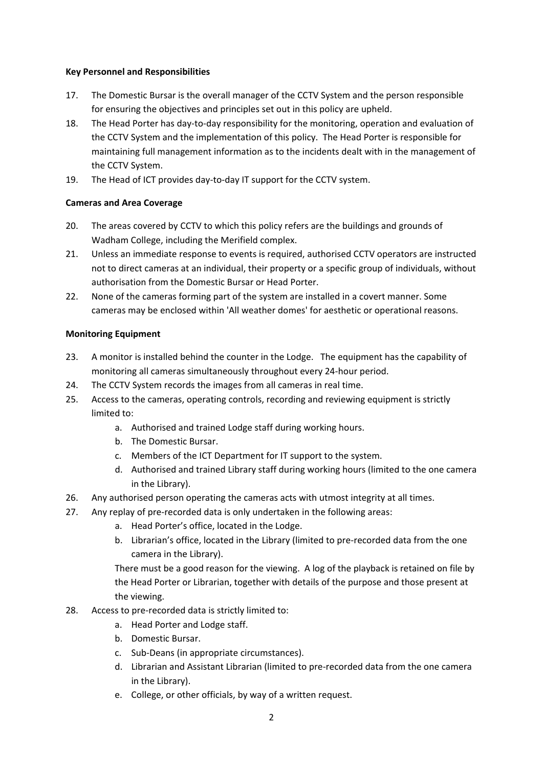#### **Key Personnel and Responsibilities**

- 17. The Domestic Bursar is the overall manager of the CCTV System and the person responsible for ensuring the objectives and principles set out in this policy are upheld.
- 18. The Head Porter has day-to-day responsibility for the monitoring, operation and evaluation of the CCTV System and the implementation of this policy. The Head Porter is responsible for maintaining full management information as to the incidents dealt with in the management of the CCTV System.
- 19. The Head of ICT provides day-to-day IT support for the CCTV system.

# **Cameras and Area Coverage**

- 20. The areas covered by CCTV to which this policy refers are the buildings and grounds of Wadham College, including the Merifield complex.
- 21. Unless an immediate response to events is required, authorised CCTV operators are instructed not to direct cameras at an individual, their property or a specific group of individuals, without authorisation from the Domestic Bursar or Head Porter.
- 22. None of the cameras forming part of the system are installed in a covert manner. Some cameras may be enclosed within 'All weather domes' for aesthetic or operational reasons.

# **Monitoring Equipment**

- 23. A monitor is installed behind the counter in the Lodge. The equipment has the capability of monitoring all cameras simultaneously throughout every 24-hour period.
- 24. The CCTV System records the images from all cameras in real time.
- 25. Access to the cameras, operating controls, recording and reviewing equipment is strictly limited to:
	- a. Authorised and trained Lodge staff during working hours.
	- b. The Domestic Bursar.
	- c. Members of the ICT Department for IT support to the system.
	- d. Authorised and trained Library staff during working hours (limited to the one camera in the Library).
- 26. Any authorised person operating the cameras acts with utmost integrity at all times.
- 27. Any replay of pre-recorded data is only undertaken in the following areas:
	- a. Head Porter's office, located in the Lodge.
	- b. Librarian's office, located in the Library (limited to pre-recorded data from the one camera in the Library).

There must be a good reason for the viewing. A log of the playback is retained on file by the Head Porter or Librarian, together with details of the purpose and those present at the viewing.

- 28. Access to pre-recorded data is strictly limited to:
	- a. Head Porter and Lodge staff.
	- b. Domestic Bursar.
	- c. Sub-Deans (in appropriate circumstances).
	- d. Librarian and Assistant Librarian (limited to pre-recorded data from the one camera in the Library).
	- e. College, or other officials, by way of a written request.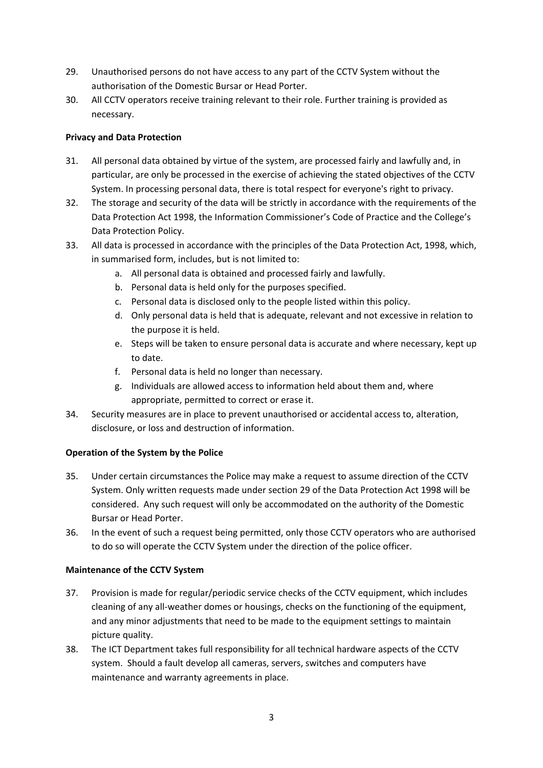- 29. Unauthorised persons do not have access to any part of the CCTV System without the authorisation of the Domestic Bursar or Head Porter.
- 30. All CCTV operators receive training relevant to their role. Further training is provided as necessary.

# **Privacy and Data Protection**

- 31. All personal data obtained by virtue of the system, are processed fairly and lawfully and, in particular, are only be processed in the exercise of achieving the stated objectives of the CCTV System. In processing personal data, there is total respect for everyone's right to privacy.
- 32. The storage and security of the data will be strictly in accordance with the requirements of the Data Protection Act 1998, the Information Commissioner's Code of Practice and the College's Data Protection Policy.
- 33. All data is processed in accordance with the principles of the Data Protection Act, 1998, which, in summarised form, includes, but is not limited to:
	- a. All personal data is obtained and processed fairly and lawfully.
	- b. Personal data is held only for the purposes specified.
	- c. Personal data is disclosed only to the people listed within this policy.
	- d. Only personal data is held that is adequate, relevant and not excessive in relation to the purpose it is held.
	- e. Steps will be taken to ensure personal data is accurate and where necessary, kept up to date.
	- f. Personal data is held no longer than necessary.
	- g. Individuals are allowed access to information held about them and, where appropriate, permitted to correct or erase it.
- 34. Security measures are in place to prevent unauthorised or accidental access to, alteration, disclosure, or loss and destruction of information.

# **Operation of the System by the Police**

- 35. Under certain circumstances the Police may make a request to assume direction of the CCTV System. Only written requests made under section 29 of the Data Protection Act 1998 will be considered. Any such request will only be accommodated on the authority of the Domestic Bursar or Head Porter.
- 36. In the event of such a request being permitted, only those CCTV operators who are authorised to do so will operate the CCTV System under the direction of the police officer.

# **Maintenance of the CCTV System**

- 37. Provision is made for regular/periodic service checks of the CCTV equipment, which includes cleaning of any all-weather domes or housings, checks on the functioning of the equipment, and any minor adjustments that need to be made to the equipment settings to maintain picture quality.
- 38. The ICT Department takes full responsibility for all technical hardware aspects of the CCTV system. Should a fault develop all cameras, servers, switches and computers have maintenance and warranty agreements in place.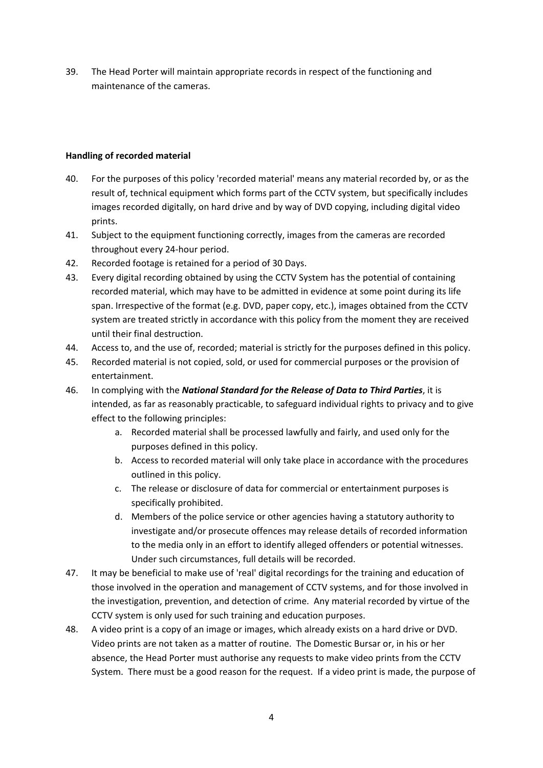39. The Head Porter will maintain appropriate records in respect of the functioning and maintenance of the cameras.

#### **Handling of recorded material**

- 40. For the purposes of this policy 'recorded material' means any material recorded by, or as the result of, technical equipment which forms part of the CCTV system, but specifically includes images recorded digitally, on hard drive and by way of DVD copying, including digital video prints.
- 41. Subject to the equipment functioning correctly, images from the cameras are recorded throughout every 24-hour period.
- 42. Recorded footage is retained for a period of 30 Days.
- 43. Every digital recording obtained by using the CCTV System has the potential of containing recorded material, which may have to be admitted in evidence at some point during its life span. Irrespective of the format (e.g. DVD, paper copy, etc.), images obtained from the CCTV system are treated strictly in accordance with this policy from the moment they are received until their final destruction.
- 44. Access to, and the use of, recorded; material is strictly for the purposes defined in this policy.
- 45. Recorded material is not copied, sold, or used for commercial purposes or the provision of entertainment.
- 46. In complying with the *National Standard for the Release of Data to Third Parties*, it is intended, as far as reasonably practicable, to safeguard individual rights to privacy and to give effect to the following principles:
	- a. Recorded material shall be processed lawfully and fairly, and used only for the purposes defined in this policy.
	- b. Access to recorded material will only take place in accordance with the procedures outlined in this policy.
	- c. The release or disclosure of data for commercial or entertainment purposes is specifically prohibited.
	- d. Members of the police service or other agencies having a statutory authority to investigate and/or prosecute offences may release details of recorded information to the media only in an effort to identify alleged offenders or potential witnesses. Under such circumstances, full details will be recorded.
- 47. It may be beneficial to make use of 'real' digital recordings for the training and education of those involved in the operation and management of CCTV systems, and for those involved in the investigation, prevention, and detection of crime. Any material recorded by virtue of the CCTV system is only used for such training and education purposes.
- 48. A video print is a copy of an image or images, which already exists on a hard drive or DVD. Video prints are not taken as a matter of routine. The Domestic Bursar or, in his or her absence, the Head Porter must authorise any requests to make video prints from the CCTV System. There must be a good reason for the request. If a video print is made, the purpose of